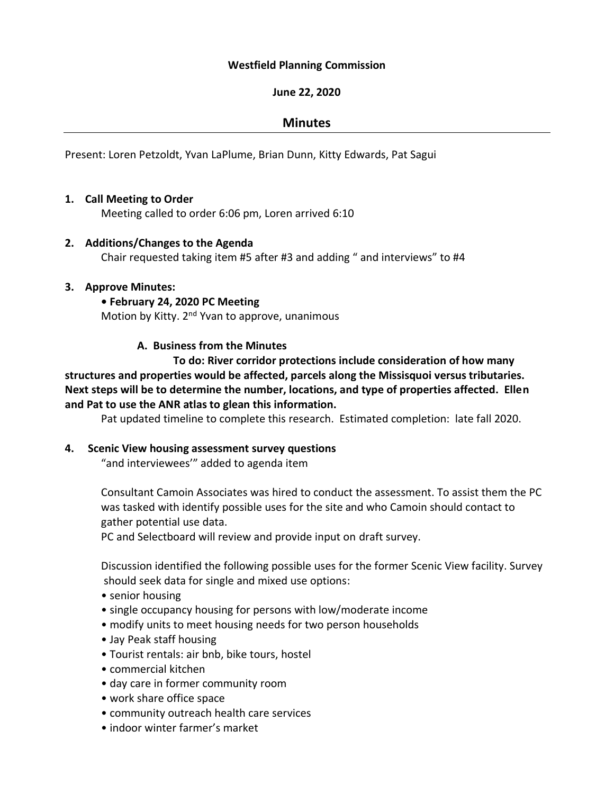#### **Westfield Planning Commission**

### **June 22, 2020**

## **Minutes**

Present: Loren Petzoldt, Yvan LaPlume, Brian Dunn, Kitty Edwards, Pat Sagui

### **1. Call Meeting to Order**

Meeting called to order 6:06 pm, Loren arrived 6:10

### **2. Additions/Changes to the Agenda**

Chair requested taking item #5 after #3 and adding " and interviews" to #4

### **3. Approve Minutes:**

### **• February 24, 2020 PC Meeting**

Motion by Kitty. 2<sup>nd</sup> Yvan to approve, unanimous

### **A. Business from the Minutes**

**To do: River corridor protections include consideration of how many structures and properties would be affected, parcels along the Missisquoi versus tributaries. Next steps will be to determine the number, locations, and type of properties affected. Ellen and Pat to use the ANR atlas to glean this information.** 

Pat updated timeline to complete this research. Estimated completion: late fall 2020.

## **4. Scenic View housing assessment survey questions**

"and interviewees'" added to agenda item

Consultant Camoin Associates was hired to conduct the assessment. To assist them the PC was tasked with identify possible uses for the site and who Camoin should contact to gather potential use data.

PC and Selectboard will review and provide input on draft survey.

Discussion identified the following possible uses for the former Scenic View facility. Survey should seek data for single and mixed use options:

- senior housing
- single occupancy housing for persons with low/moderate income
- modify units to meet housing needs for two person households
- Jay Peak staff housing
- Tourist rentals: air bnb, bike tours, hostel
- commercial kitchen
- day care in former community room
- work share office space
- community outreach health care services
- indoor winter farmer's market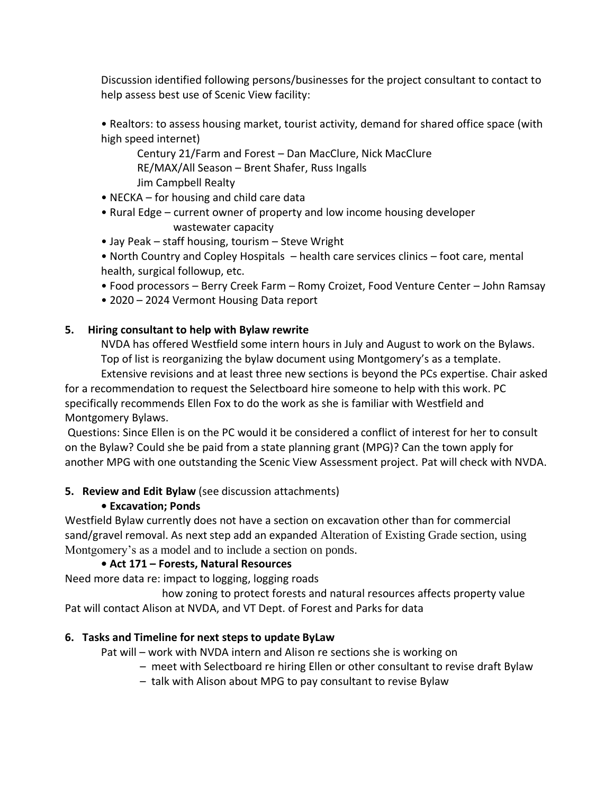Discussion identified following persons/businesses for the project consultant to contact to help assess best use of Scenic View facility:

• Realtors: to assess housing market, tourist activity, demand for shared office space (with high speed internet)

Century 21/Farm and Forest – Dan MacClure, Nick MacClure RE/MAX/All Season – Brent Shafer, Russ Ingalls Jim Campbell Realty

- NECKA for housing and child care data
- Rural Edge current owner of property and low income housing developer wastewater capacity
- Jay Peak staff housing, tourism Steve Wright
- North Country and Copley Hospitals health care services clinics foot care, mental health, surgical followup, etc.
- Food processors Berry Creek Farm Romy Croizet, Food Venture Center John Ramsay
- 2020 2024 Vermont Housing Data report

## **5. Hiring consultant to help with Bylaw rewrite**

NVDA has offered Westfield some intern hours in July and August to work on the Bylaws. Top of list is reorganizing the bylaw document using Montgomery's as a template. Extensive revisions and at least three new sections is beyond the PCs expertise. Chair asked

for a recommendation to request the Selectboard hire someone to help with this work. PC specifically recommends Ellen Fox to do the work as she is familiar with Westfield and Montgomery Bylaws.

Questions: Since Ellen is on the PC would it be considered a conflict of interest for her to consult on the Bylaw? Could she be paid from a state planning grant (MPG)? Can the town apply for another MPG with one outstanding the Scenic View Assessment project. Pat will check with NVDA.

## **5. Review and Edit Bylaw** (see discussion attachments)

# **• Excavation; Ponds**

Westfield Bylaw currently does not have a section on excavation other than for commercial sand/gravel removal. As next step add an expanded Alteration of Existing Grade section, using Montgomery's as a model and to include a section on ponds.

# **• Act 171 – Forests, Natural Resources**

Need more data re: impact to logging, logging roads

 how zoning to protect forests and natural resources affects property value Pat will contact Alison at NVDA, and VT Dept. of Forest and Parks for data

# **6. Tasks and Timeline for next steps to update ByLaw**

Pat will – work with NVDA intern and Alison re sections she is working on

- meet with Selectboard re hiring Ellen or other consultant to revise draft Bylaw
- talk with Alison about MPG to pay consultant to revise Bylaw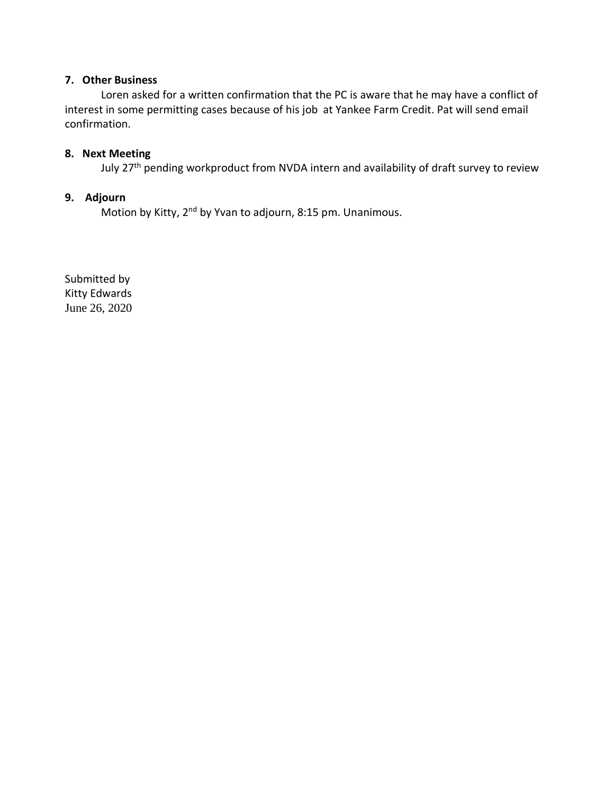#### **7. Other Business**

Loren asked for a written confirmation that the PC is aware that he may have a conflict of interest in some permitting cases because of his job at Yankee Farm Credit. Pat will send email confirmation.

## **8. Next Meeting**

July 27<sup>th</sup> pending workproduct from NVDA intern and availability of draft survey to review

### **9. Adjourn**

Motion by Kitty, 2<sup>nd</sup> by Yvan to adjourn, 8:15 pm. Unanimous.

Submitted by Kitty Edwards June 26, 2020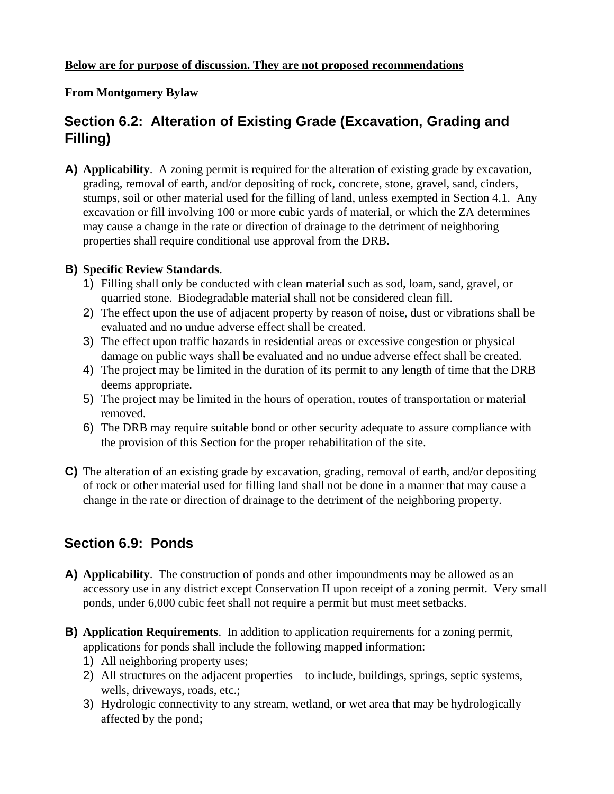# **From Montgomery Bylaw**

# **Section 6.2: Alteration of Existing Grade (Excavation, Grading and Filling)**

**A) Applicability**. A zoning permit is required for the alteration of existing grade by excavation, grading, removal of earth, and/or depositing of rock, concrete, stone, gravel, sand, cinders, stumps, soil or other material used for the filling of land, unless exempted in Section 4.1. Any excavation or fill involving 100 or more cubic yards of material, or which the ZA determines may cause a change in the rate or direction of drainage to the detriment of neighboring properties shall require conditional use approval from the DRB.

# **B) Specific Review Standards**.

- 1) Filling shall only be conducted with clean material such as sod, loam, sand, gravel, or quarried stone. Biodegradable material shall not be considered clean fill.
- 2) The effect upon the use of adjacent property by reason of noise, dust or vibrations shall be evaluated and no undue adverse effect shall be created.
- 3) The effect upon traffic hazards in residential areas or excessive congestion or physical damage on public ways shall be evaluated and no undue adverse effect shall be created.
- 4) The project may be limited in the duration of its permit to any length of time that the DRB deems appropriate.
- 5) The project may be limited in the hours of operation, routes of transportation or material removed.
- 6) The DRB may require suitable bond or other security adequate to assure compliance with the provision of this Section for the proper rehabilitation of the site.
- **C)** The alteration of an existing grade by excavation, grading, removal of earth, and/or depositing of rock or other material used for filling land shall not be done in a manner that may cause a change in the rate or direction of drainage to the detriment of the neighboring property.

# **Section 6.9: Ponds**

- **A) Applicability**. The construction of ponds and other impoundments may be allowed as an accessory use in any district except Conservation II upon receipt of a zoning permit. Very small ponds, under 6,000 cubic feet shall not require a permit but must meet setbacks.
- **B) Application Requirements**. In addition to application requirements for a zoning permit, applications for ponds shall include the following mapped information:
	- 1) All neighboring property uses;
	- 2) All structures on the adjacent properties to include, buildings, springs, septic systems, wells, driveways, roads, etc.;
	- 3) Hydrologic connectivity to any stream, wetland, or wet area that may be hydrologically affected by the pond;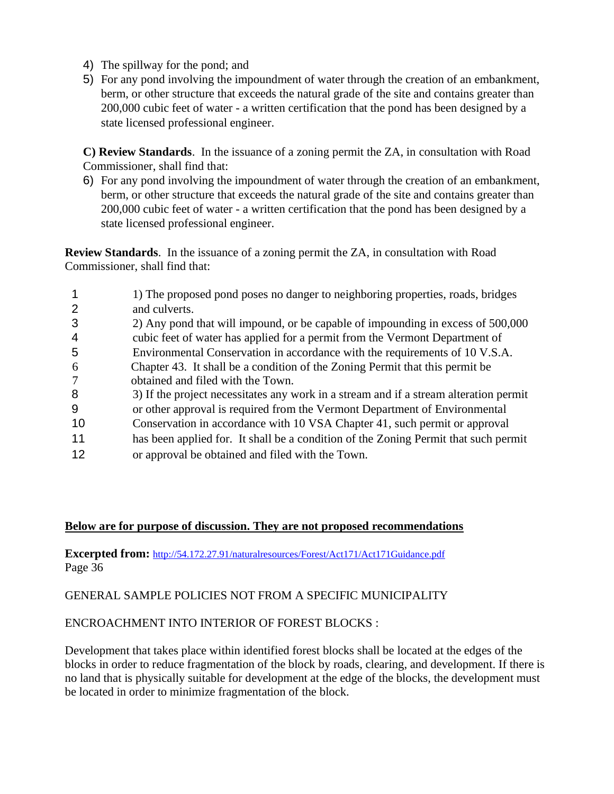- 4) The spillway for the pond; and
- 5) For any pond involving the impoundment of water through the creation of an embankment, berm, or other structure that exceeds the natural grade of the site and contains greater than 200,000 cubic feet of water - a written certification that the pond has been designed by a state licensed professional engineer.

**C) Review Standards**. In the issuance of a zoning permit the ZA, in consultation with Road Commissioner, shall find that:

6) For any pond involving the impoundment of water through the creation of an embankment, berm, or other structure that exceeds the natural grade of the site and contains greater than 200,000 cubic feet of water - a written certification that the pond has been designed by a state licensed professional engineer.

**Review Standards**. In the issuance of a zoning permit the ZA, in consultation with Road Commissioner, shall find that:

|               | 1) The proposed pond poses no danger to neighboring properties, roads, bridges        |
|---------------|---------------------------------------------------------------------------------------|
|               | and culverts.                                                                         |
|               | 2) Any pond that will impound, or be capable of impounding in excess of 500,000       |
| 4             | cubic feet of water has applied for a permit from the Vermont Department of           |
| 5             | Environmental Conservation in accordance with the requirements of 10 V.S.A.           |
| $\mathfrak b$ | Chapter 43. It shall be a condition of the Zoning Permit that this permit be          |
|               | obtained and filed with the Town.                                                     |
| 8             | 3) If the project necessitates any work in a stream and if a stream alteration permit |
| 9             | or other approval is required from the Vermont Department of Environmental            |
| 10            | Conservation in accordance with 10 VSA Chapter 41, such permit or approval            |
| 11            | has been applied for. It shall be a condition of the Zoning Permit that such permit   |
| 12            | or approval be obtained and filed with the Town.                                      |

## **Below are for purpose of discussion. They are not proposed recommendations**

**Excerpted from:** <http://54.172.27.91/naturalresources/Forest/Act171/Act171Guidance.pdf> Page 36

GENERAL SAMPLE POLICIES NOT FROM A SPECIFIC MUNICIPALITY

## ENCROACHMENT INTO INTERIOR OF FOREST BLOCKS :

Development that takes place within identified forest blocks shall be located at the edges of the blocks in order to reduce fragmentation of the block by roads, clearing, and development. If there is no land that is physically suitable for development at the edge of the blocks, the development must be located in order to minimize fragmentation of the block.